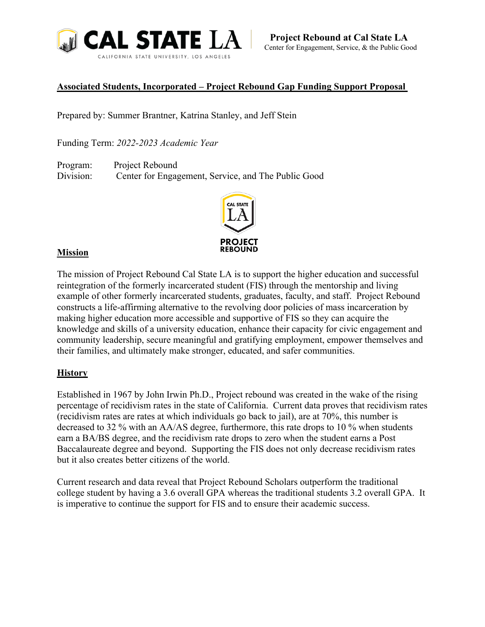

# **Associated Students, Incorporated – Project Rebound Gap Funding Support Proposal**

Prepared by: Summer Brantner, Katrina Stanley, and Jeff Stein

Funding Term: *2022-2023 Academic Year*

Program: Project Rebound Division: Center for Engagement, Service, and The Public Good



# **Mission**

The mission of Project Rebound Cal State LA is to support the higher education and successful reintegration of the formerly incarcerated student (FIS) through the mentorship and living example of other formerly incarcerated students, graduates, faculty, and staff. Project Rebound constructs a life-affirming alternative to the revolving door policies of mass incarceration by making higher education more accessible and supportive of FIS so they can acquire the knowledge and skills of a university education, enhance their capacity for civic engagement and community leadership, secure meaningful and gratifying employment, empower themselves and their families, and ultimately make stronger, educated, and safer communities.

# **History**

Established in 1967 by John Irwin Ph.D., Project rebound was created in the wake of the rising percentage of recidivism rates in the state of California. Current data proves that recidivism rates (recidivism rates are rates at which individuals go back to jail), are at 70%, this number is decreased to 32 % with an AA/AS degree, furthermore, this rate drops to 10 % when students earn a BA/BS degree, and the recidivism rate drops to zero when the student earns a Post Baccalaureate degree and beyond. Supporting the FIS does not only decrease recidivism rates but it also creates better citizens of the world.

Current research and data reveal that Project Rebound Scholars outperform the traditional college student by having a 3.6 overall GPA whereas the traditional students 3.2 overall GPA. It is imperative to continue the support for FIS and to ensure their academic success.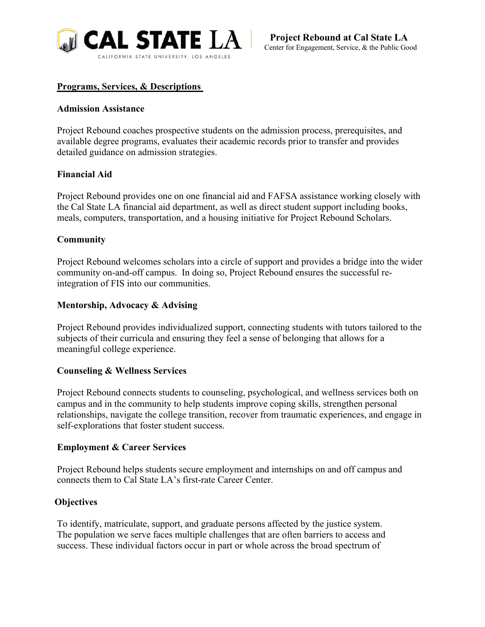

### **Programs, Services, & Descriptions**

#### **Admission Assistance**

Project Rebound coaches prospective students on the admission process, prerequisites, and available degree programs, evaluates their academic records prior to transfer and provides detailed guidance on admission strategies.

### **Financial Aid**

Project Rebound provides one on one financial aid and FAFSA assistance working closely with the Cal State LA financial aid department, as well as direct student support including books, meals, computers, transportation, and a housing initiative for Project Rebound Scholars.

### **Community**

Project Rebound welcomes scholars into a circle of support and provides a bridge into the wider community on-and-off campus. In doing so, Project Rebound ensures the successful reintegration of FIS into our communities.

### **Mentorship, Advocacy & Advising**

Project Rebound provides individualized support, connecting students with tutors tailored to the subjects of their curricula and ensuring they feel a sense of belonging that allows for a meaningful college experience.

#### **Counseling & Wellness Services**

Project Rebound connects students to counseling, psychological, and wellness services both on campus and in the community to help students improve coping skills, strengthen personal relationships, navigate the college transition, recover from traumatic experiences, and engage in self-explorations that foster student success.

#### **Employment & Career Services**

Project Rebound helps students secure employment and internships on and off campus and connects them to Cal State LA's first-rate Career Center.

#### **Objectives**

To identify, matriculate, support, and graduate persons affected by the justice system. The population we serve faces multiple challenges that are often barriers to access and success. These individual factors occur in part or whole across the broad spectrum of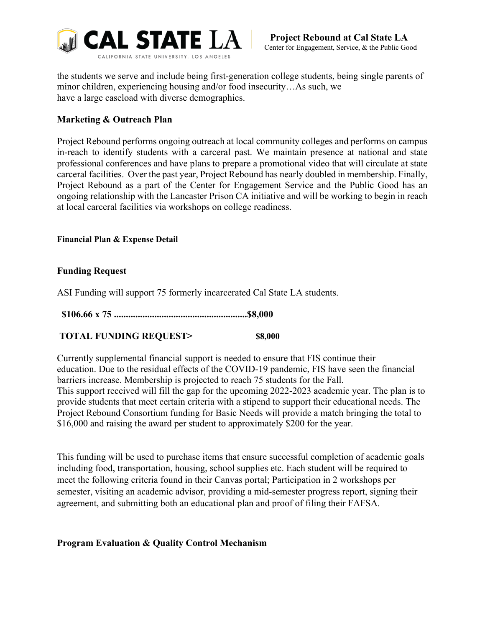

the students we serve and include being first-generation college students, being single parents of minor children, experiencing housing and/or food insecurity…As such, we have a large caseload with diverse demographics.

# **Marketing & Outreach Plan**

Project Rebound performs ongoing outreach at local community colleges and performs on campus in-reach to identify students with a carceral past. We maintain presence at national and state professional conferences and have plans to prepare a promotional video that will circulate at state carceral facilities. Over the past year, Project Rebound has nearly doubled in membership. Finally, Project Rebound as a part of the Center for Engagement Service and the Public Good has an ongoing relationship with the Lancaster Prison CA initiative and will be working to begin in reach at local carceral facilities via workshops on college readiness.

**Financial Plan & Expense Detail**

# **Funding Request**

ASI Funding will support 75 formerly incarcerated Cal State LA students.

**\$106.66 x 75 ........................................................\$8,000**

# **TOTAL FUNDING REQUEST> \$8,000**

Currently supplemental financial support is needed to ensure that FIS continue their education. Due to the residual effects of the COVID-19 pandemic, FIS have seen the financial barriers increase. Membership is projected to reach 75 students for the Fall. This support received will fill the gap for the upcoming 2022-2023 academic year. The plan is to provide students that meet certain criteria with a stipend to support their educational needs. The Project Rebound Consortium funding for Basic Needs will provide a match bringing the total to \$16,000 and raising the award per student to approximately \$200 for the year.

This funding will be used to purchase items that ensure successful completion of academic goals including food, transportation, housing, school supplies etc. Each student will be required to meet the following criteria found in their Canvas portal; Participation in 2 workshops per semester, visiting an academic advisor, providing a mid-semester progress report, signing their agreement, and submitting both an educational plan and proof of filing their FAFSA.

#### **Program Evaluation & Quality Control Mechanism**